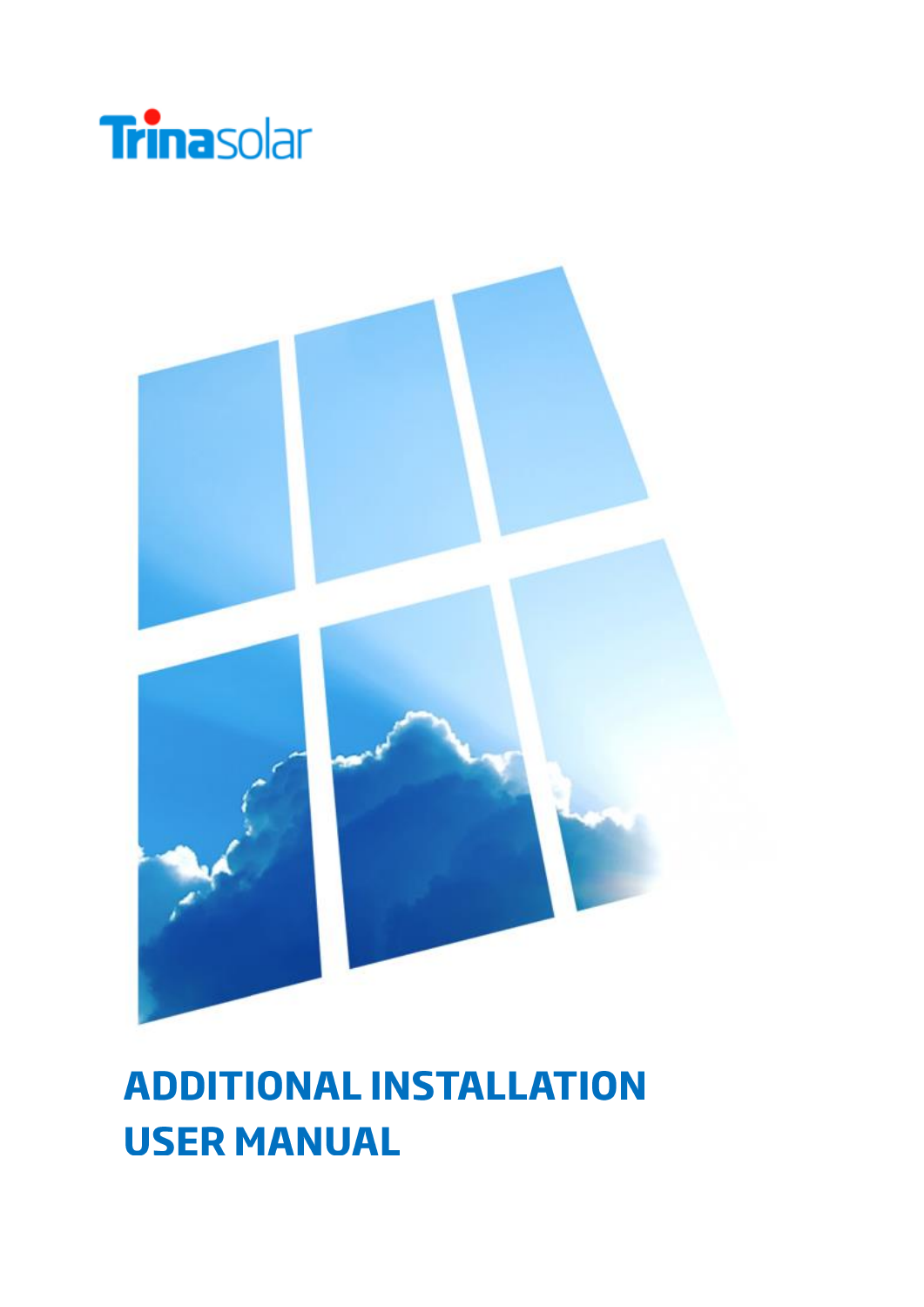



# **ADDITIONAL INSTALLATION USER MANUAL**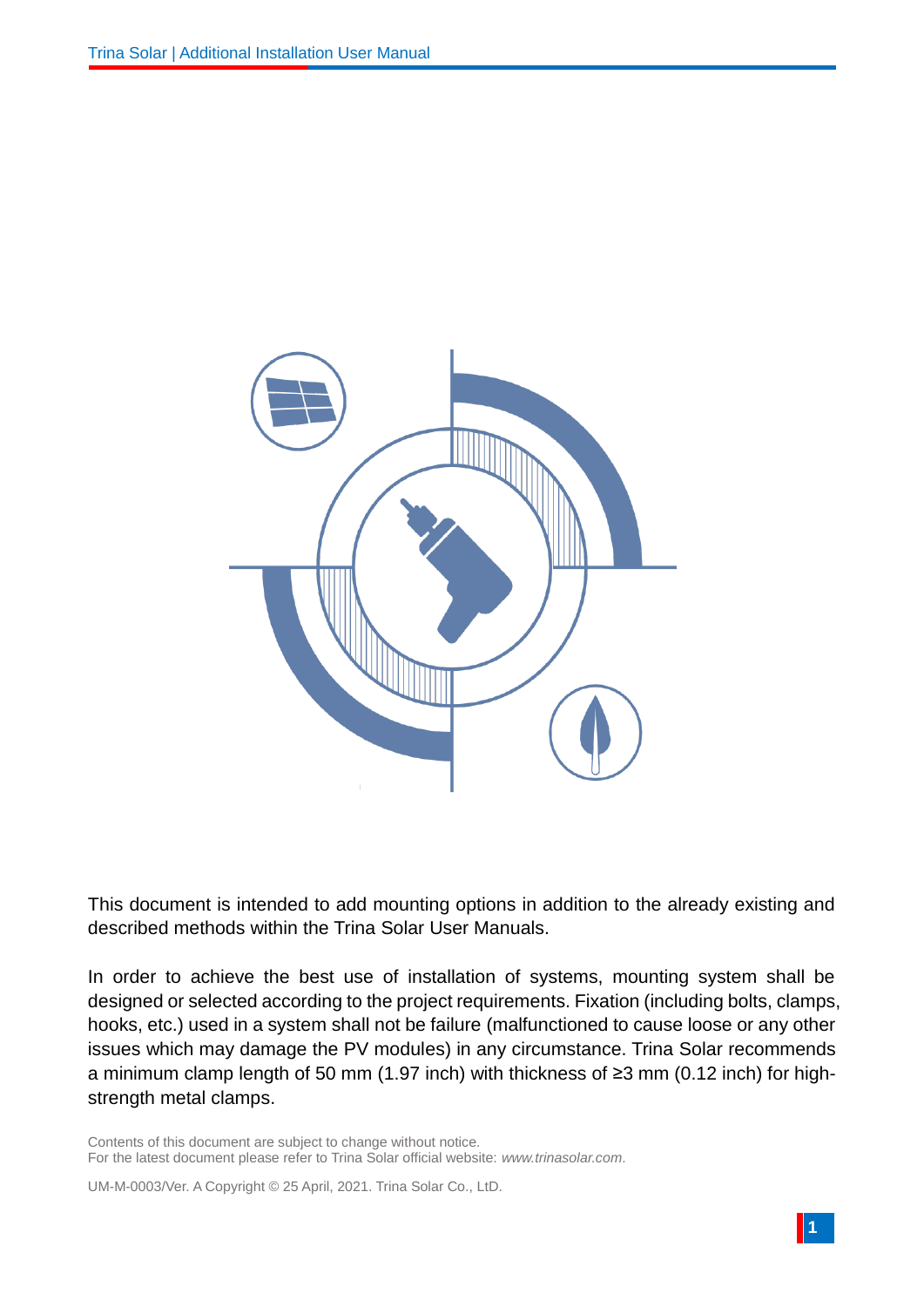

This document is intended to add mounting options in addition to the already existing and described methods within the Trina Solar User Manuals.

In order to achieve the best use of installation of systems, mounting system shall be designed or selected according to the project requirements. Fixation (including bolts, clamps, hooks, etc.) used in a system shall not be failure (malfunctioned to cause loose or any other issues which may damage the PV modules) in any circumstance. Trina Solar recommends a minimum clamp length of 50 mm (1.97 inch) with thickness of ≥3 mm (0.12 inch) for highstrength metal clamps.

Contents of this document are subject to change without notice. For the latest document please refer to Trina Solar official website: *[www.trinasolar.com](http://www.trinasolar.com/)*.

UM-M-0003/Ver. A Copyright © 25 April, 2021. Trina Solar Co., LtD.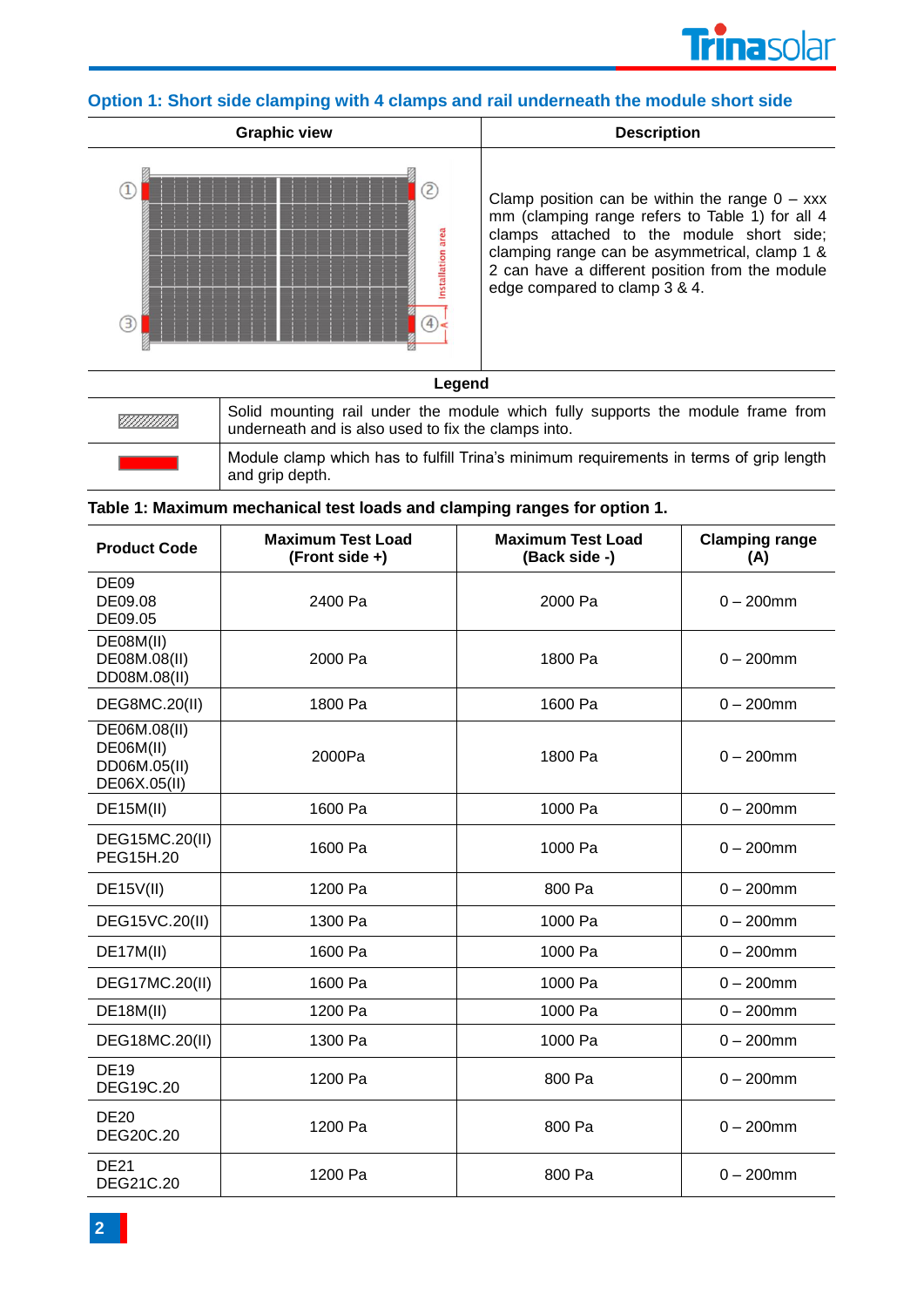

# **Option 1: Short side clamping with 4 clamps and rail underneath the module short side**



Clamp position can be within the range  $0 - xxx$ mm (clamping range refers to Table 1) for all 4 clamps attached to the module short side; clamping range can be asymmetrical, clamp 1 & 2 can have a different position from the module edge compared to clamp 3 & 4.

#### **Legend**

| <u>Tittillin</u> | Solid mounting rail under the module which fully supports the module frame from<br>underneath and is also used to fix the clamps into. |
|------------------|----------------------------------------------------------------------------------------------------------------------------------------|
|                  | Module clamp which has to fulfill Trina's minimum requirements in terms of grip length<br>and grip depth.                              |

| Table 1: Maximum mechanical test loads and clamping ranges for option 1. |  |  |  |  |  |  |  |  |  |  |
|--------------------------------------------------------------------------|--|--|--|--|--|--|--|--|--|--|
|--------------------------------------------------------------------------|--|--|--|--|--|--|--|--|--|--|

| <b>Product Code</b>                                       | <b>Maximum Test Load</b><br>(Front side +) | <b>Maximum Test Load</b><br>(Back side -) | <b>Clamping range</b><br>(A) |
|-----------------------------------------------------------|--------------------------------------------|-------------------------------------------|------------------------------|
| <b>DE09</b><br>DE09.08<br>DE09.05                         | 2400 Pa                                    | 2000 Pa                                   | $0 - 200$ mm                 |
| DE08M(II)<br>DE08M.08(II)<br>DD08M.08(II)                 | 2000 Pa                                    | 1800 Pa                                   | $0 - 200$ mm                 |
| <b>DEG8MC.20(II)</b>                                      | 1800 Pa                                    | 1600 Pa                                   | $0 - 200$ mm                 |
| DE06M.08(II)<br>DE06M(II)<br>DD06M.05(II)<br>DE06X.05(II) | 2000Pa                                     | 1800 Pa                                   | $0 - 200$ mm                 |
| <b>DE15M(II)</b>                                          | 1600 Pa                                    | 1000 Pa                                   | $0 - 200$ mm                 |
| DEG15MC.20(II)<br>PEG15H.20                               | 1600 Pa                                    | 1000 Pa                                   | $0 - 200$ mm                 |
| <b>DE15V(II)</b>                                          | 1200 Pa                                    | 800 Pa                                    | $0 - 200$ mm                 |
| DEG15VC.20(II)                                            | 1300 Pa                                    | 1000 Pa                                   | $0 - 200$ mm                 |
| DE17M(II)                                                 | 1600 Pa                                    | 1000 Pa                                   | $0 - 200$ mm                 |
| DEG17MC.20(II)                                            | 1600 Pa                                    | 1000 Pa                                   | $0 - 200$ mm                 |
| <b>DE18M(II)</b>                                          | 1200 Pa                                    | 1000 Pa                                   | $0 - 200$ mm                 |
| DEG18MC.20(II)                                            | 1300 Pa                                    | 1000 Pa                                   | $0 - 200$ mm                 |
| <b>DE19</b><br>DEG19C.20                                  | 1200 Pa                                    | 800 Pa                                    | $0 - 200$ mm                 |
| <b>DE20</b><br>DEG20C.20                                  | 1200 Pa                                    | 800 Pa                                    | $0 - 200$ mm                 |
| <b>DE21</b><br>DEG21C.20                                  | 1200 Pa                                    | 800 Pa                                    | $0 - 200$ mm                 |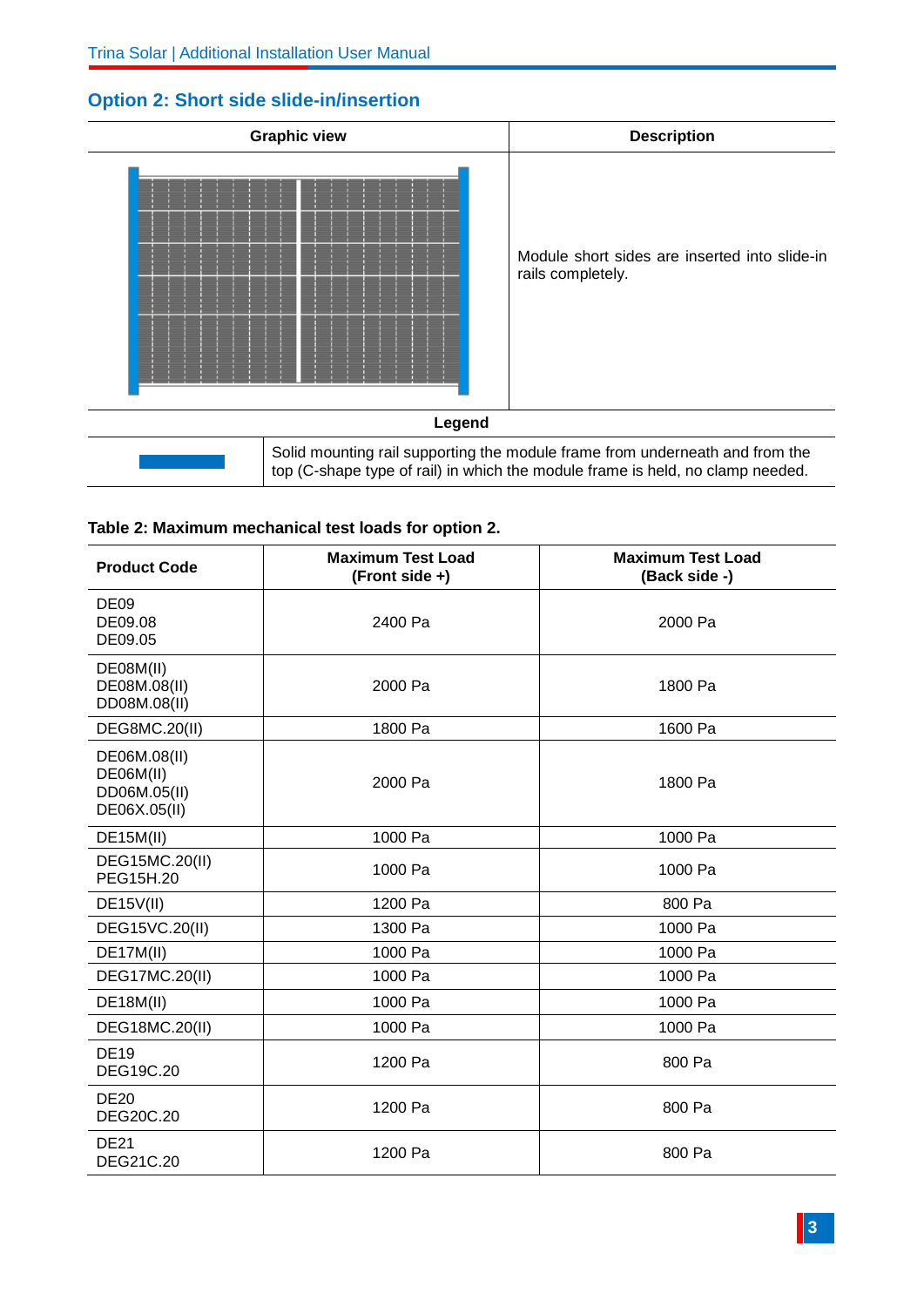# **Graphic view Description** Module short sides are inserted into slide-in rails completely. **Legend** Solid mounting rail supporting the module frame from underneath and from the

top (C-shape type of rail) in which the module frame is held, no clamp needed.

## **Option 2: Short side slide-in/insertion**

| Table 2: Maximum mechanical test loads for option 2. |  |
|------------------------------------------------------|--|

| <b>Product Code</b>                                       | <b>Maximum Test Load</b><br>(Front side +) | <b>Maximum Test Load</b><br>(Back side -) |
|-----------------------------------------------------------|--------------------------------------------|-------------------------------------------|
| <b>DE09</b><br>DE09.08<br>DE09.05                         | 2400 Pa                                    | 2000 Pa                                   |
| DE08M(II)<br>DE08M.08(II)<br>DD08M.08(II)                 | 2000 Pa                                    | 1800 Pa                                   |
| <b>DEG8MC.20(II)</b>                                      | 1800 Pa                                    | 1600 Pa                                   |
| DE06M.08(II)<br>DE06M(II)<br>DD06M.05(II)<br>DE06X.05(II) | 2000 Pa                                    | 1800 Pa                                   |
| DE15M(II)                                                 | 1000 Pa                                    | 1000 Pa                                   |
| DEG15MC.20(II)<br>PEG15H.20                               | 1000 Pa                                    | 1000 Pa                                   |
| DE15V(II)                                                 | 1200 Pa                                    | 800 Pa                                    |
| DEG15VC.20(II)                                            | 1300 Pa                                    | 1000 Pa                                   |
| DE17M(II)                                                 | 1000 Pa                                    | 1000 Pa                                   |
| DEG17MC.20(II)                                            | 1000 Pa                                    | 1000 Pa                                   |
| <b>DE18M(II)</b>                                          | 1000 Pa                                    | 1000 Pa                                   |
| DEG18MC.20(II)                                            | 1000 Pa                                    | 1000 Pa                                   |
| <b>DE19</b><br>DEG19C.20                                  | 1200 Pa                                    | 800 Pa                                    |
| <b>DE20</b><br>DEG20C.20                                  | 1200 Pa                                    | 800 Pa                                    |
| <b>DE21</b><br>DEG21C.20                                  | 1200 Pa                                    | 800 Pa                                    |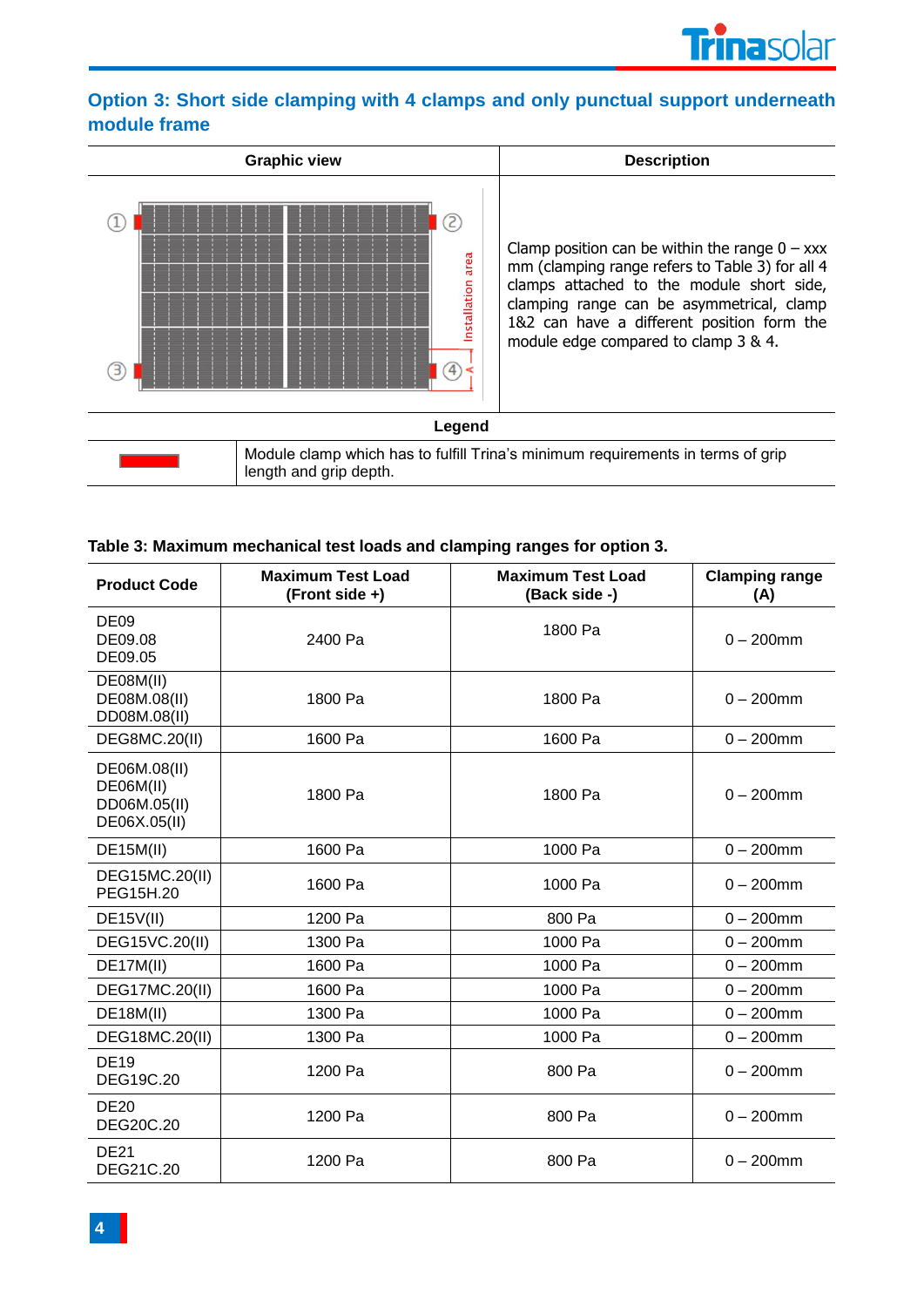# **Option 3: Short side clamping with 4 clamps and only punctual support underneath module frame**



#### **Table 3: Maximum mechanical test loads and clamping ranges for option 3.**

| <b>Product Code</b>                                       | <b>Maximum Test Load</b><br>(Front side +) | <b>Maximum Test Load</b><br>(Back side -) | <b>Clamping range</b><br>(A) |
|-----------------------------------------------------------|--------------------------------------------|-------------------------------------------|------------------------------|
| <b>DE09</b><br>DE09.08<br>DE09.05                         | 2400 Pa                                    | 1800 Pa                                   | $0 - 200$ mm                 |
| DE08M(II)<br>DE08M.08(II)<br>DD08M.08(II)                 | 1800 Pa                                    | 1800 Pa                                   | $0 - 200$ mm                 |
| DEG8MC.20(II)                                             | 1600 Pa                                    | 1600 Pa                                   | $0 - 200$ mm                 |
| DE06M.08(II)<br>DE06M(II)<br>DD06M.05(II)<br>DE06X.05(II) | 1800 Pa                                    | 1800 Pa                                   | $0 - 200$ mm                 |
| <b>DE15M(II)</b>                                          | 1600 Pa                                    | 1000 Pa                                   | $0 - 200$ mm                 |
| DEG15MC.20(II)<br>PEG15H.20                               | 1600 Pa                                    | 1000 Pa                                   | $0 - 200$ mm                 |
| <b>DE15V(II)</b>                                          | 1200 Pa                                    | 800 Pa                                    | $0 - 200$ mm                 |
| DEG15VC.20(II)                                            | 1300 Pa                                    | 1000 Pa                                   | $0 - 200$ mm                 |
| DE17M(II)                                                 | 1600 Pa                                    | 1000 Pa                                   | $0 - 200$ mm                 |
| DEG17MC.20(II)                                            | 1600 Pa                                    | 1000 Pa                                   | $0 - 200$ mm                 |
| <b>DE18M(II)</b>                                          | 1300 Pa                                    | 1000 Pa                                   | $0 - 200$ mm                 |
| DEG18MC.20(II)                                            | 1300 Pa                                    | 1000 Pa                                   | $0 - 200$ mm                 |
| <b>DE19</b><br><b>DEG19C.20</b>                           | 1200 Pa                                    | 800 Pa                                    | $0 - 200$ mm                 |
| <b>DE20</b><br>DEG20C.20                                  | 1200 Pa                                    | 800 Pa                                    | $0 - 200$ mm                 |
| <b>DE21</b><br>DEG21C.20                                  | 1200 Pa                                    | 800 Pa                                    | $0 - 200$ mm                 |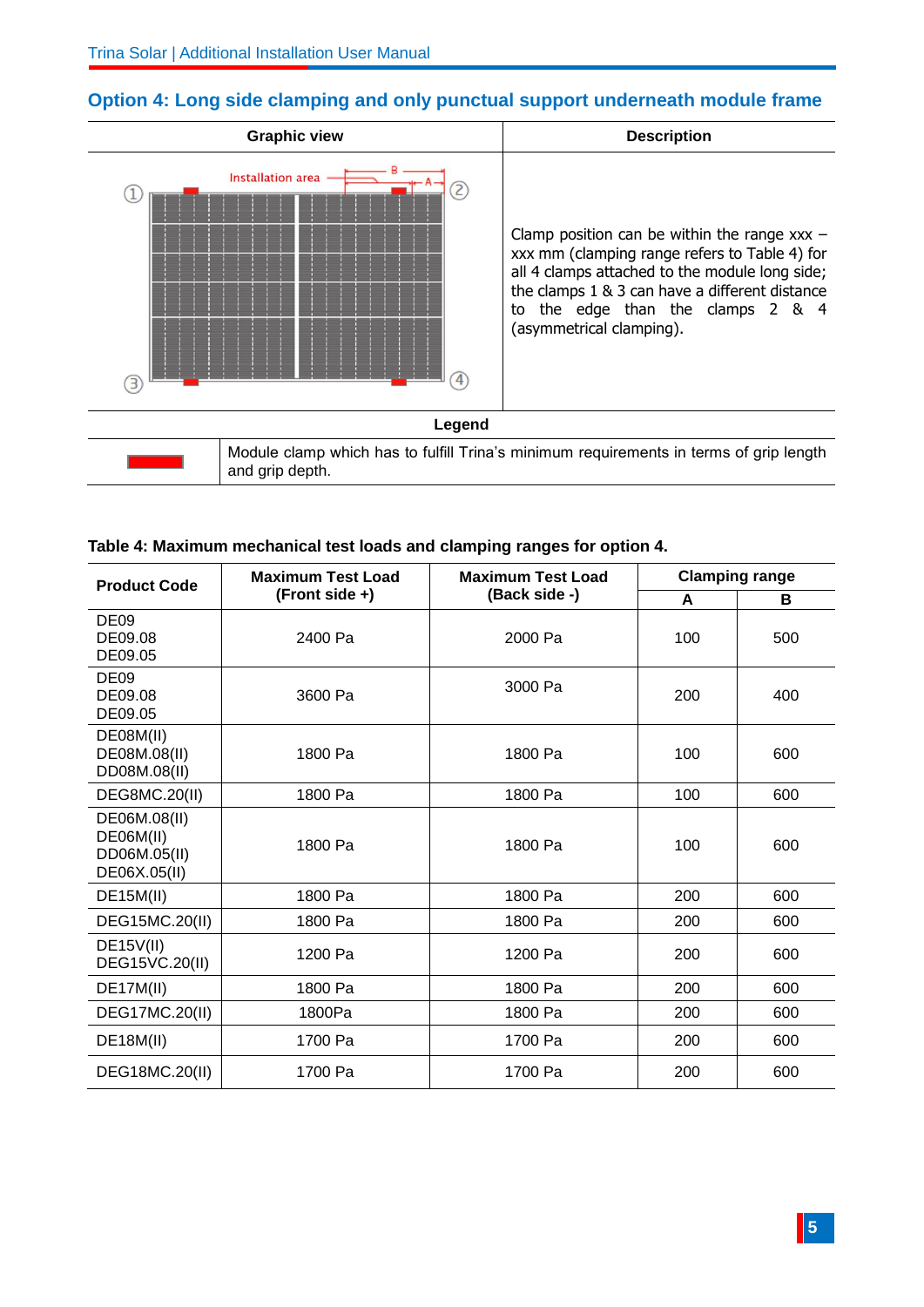

## **Option 4: Long side clamping and only punctual support underneath module frame**

#### **Table 4: Maximum mechanical test loads and clamping ranges for option 4.**

| <b>Product Code</b>                                       | <b>Maximum Test Load</b>        | <b>Maximum Test Load</b> |     | <b>Clamping range</b> |  |
|-----------------------------------------------------------|---------------------------------|--------------------------|-----|-----------------------|--|
|                                                           | (Front side +)<br>(Back side -) |                          | A   | в                     |  |
| DE <sub>09</sub><br>DE09.08<br>DE09.05                    | 2400 Pa                         | 2000 Pa                  | 100 | 500                   |  |
| DE <sub>09</sub><br>DE09.08<br>DE09.05                    | 3600 Pa                         | 3000 Pa                  | 200 | 400                   |  |
| DE08M(II)<br>DE08M.08(II)<br>DD08M.08(II)                 | 1800 Pa                         | 1800 Pa                  | 100 | 600                   |  |
| <b>DEG8MC.20(II)</b>                                      | 1800 Pa                         | 1800 Pa                  | 100 | 600                   |  |
| DE06M.08(II)<br>DE06M(II)<br>DD06M.05(II)<br>DE06X.05(II) | 1800 Pa                         | 1800 Pa                  | 100 | 600                   |  |
| <b>DE15M(II)</b>                                          | 1800 Pa                         | 1800 Pa                  | 200 | 600                   |  |
| DEG15MC.20(II)                                            | 1800 Pa                         | 1800 Pa                  | 200 | 600                   |  |
| DE15V(II)<br>DEG15VC.20(II)                               | 1200 Pa                         | 1200 Pa                  | 200 | 600                   |  |
| DE17M(II)                                                 | 1800 Pa                         | 1800 Pa                  | 200 | 600                   |  |
| DEG17MC.20(II)                                            | 1800Pa                          | 1800 Pa                  | 200 | 600                   |  |
| <b>DE18M(II)</b>                                          | 1700 Pa                         | 1700 Pa                  | 200 | 600                   |  |
| DEG18MC.20(II)                                            | 1700 Pa                         | 1700 Pa                  | 200 | 600                   |  |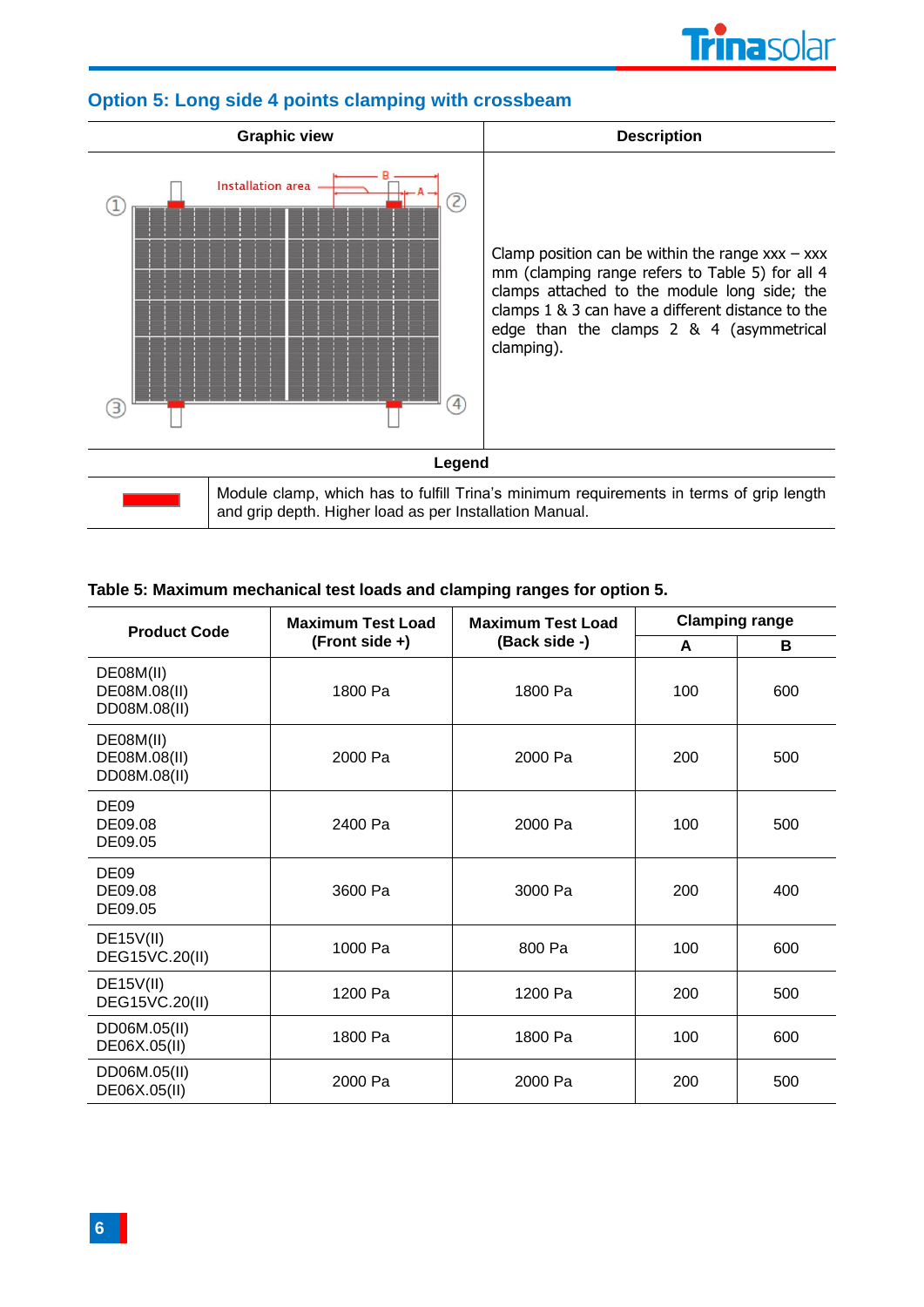



## **Option 5: Long side 4 points clamping with crossbeam**

#### **Table 5: Maximum mechanical test loads and clamping ranges for option 5.**

| <b>Product Code</b>                       | <b>Maximum Test Load</b> | <b>Maximum Test Load</b> | <b>Clamping range</b> |     |  |
|-------------------------------------------|--------------------------|--------------------------|-----------------------|-----|--|
|                                           | $(Front side +)$         | (Back side -)            | A                     | В   |  |
| DE08M(II)<br>DE08M.08(II)<br>DD08M.08(II) | 1800 Pa                  | 1800 Pa                  | 100                   | 600 |  |
| DE08M(II)<br>DE08M.08(II)<br>DD08M.08(II) | 2000 Pa                  | 2000 Pa                  | 200                   | 500 |  |
| <b>DE09</b><br>DE09.08<br>DE09.05         | 2400 Pa                  | 2000 Pa                  | 100                   | 500 |  |
| DE <sub>09</sub><br>DE09.08<br>DE09.05    | 3600 Pa                  | 3000 Pa                  | 200                   | 400 |  |
| DE15V(II)<br>DEG15VC.20(II)               | 1000 Pa                  | 800 Pa                   | 100                   | 600 |  |
| DE15V(II)<br>DEG15VC.20(II)               | 1200 Pa                  | 1200 Pa                  | 200                   | 500 |  |
| DD06M.05(II)<br>DE06X.05(II)              | 1800 Pa                  | 1800 Pa                  | 100                   | 600 |  |
| DD06M.05(II)<br>DE06X.05(II)              | 2000 Pa                  | 2000 Pa                  | 200                   | 500 |  |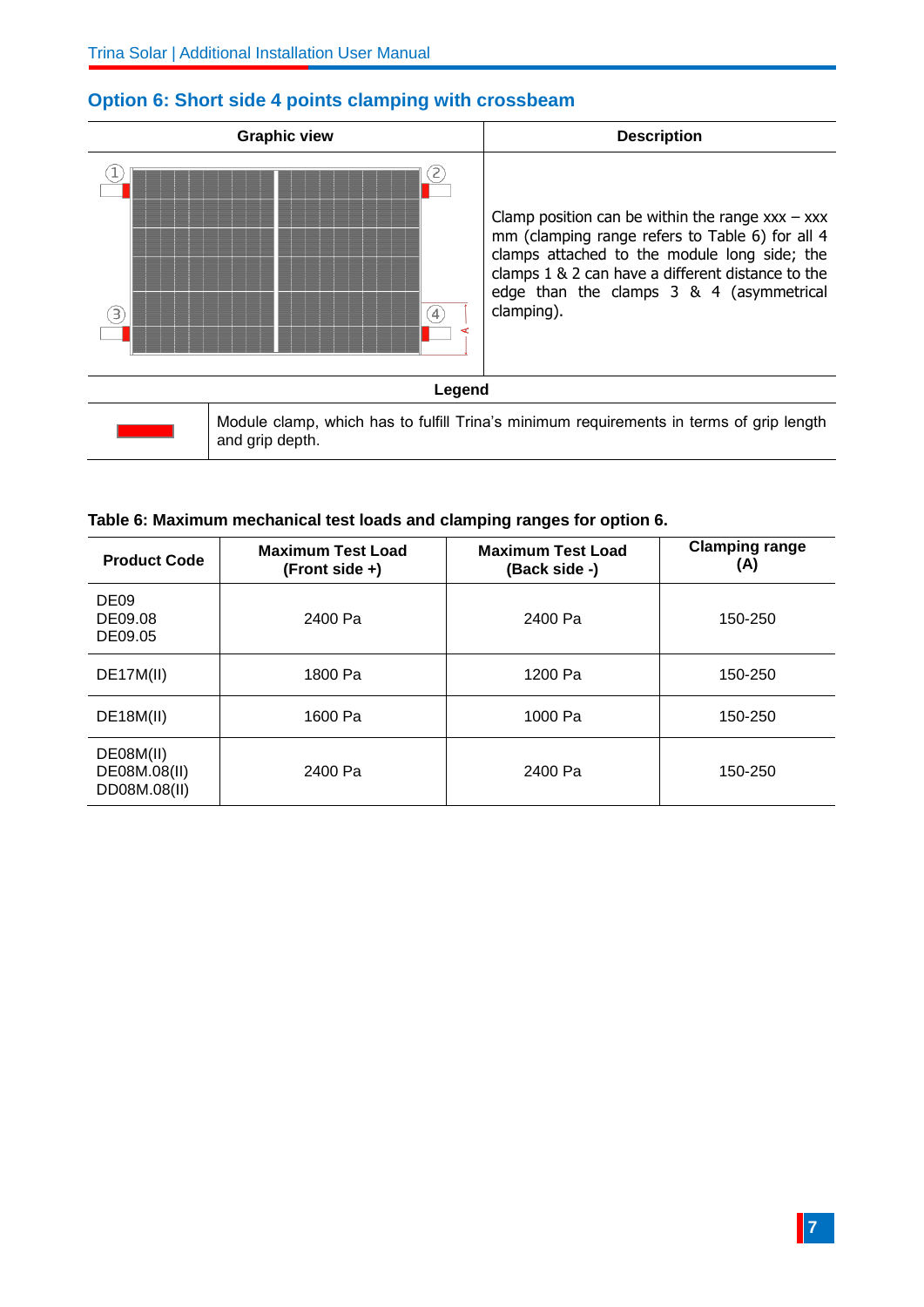

# **Option 6: Short side 4 points clamping with crossbeam**

#### **Table 6: Maximum mechanical test loads and clamping ranges for option 6.**

| <b>Product Code</b>                       | <b>Maximum Test Load</b><br>$(Front side +)$ | <b>Maximum Test Load</b><br>(Back side -) | <b>Clamping range</b><br>(A) |
|-------------------------------------------|----------------------------------------------|-------------------------------------------|------------------------------|
| DE <sub>09</sub><br>DE09.08<br>DE09.05    | 2400 Pa                                      | 2400 Pa                                   | 150-250                      |
| DE17M(II)                                 | 1800 Pa                                      | 1200 Pa                                   | 150-250                      |
| DE18M(II)                                 | 1600 Pa                                      | 1000 Pa                                   | 150-250                      |
| DE08M(II)<br>DE08M.08(II)<br>DD08M.08(II) | 2400 Pa                                      | 2400 Pa                                   | 150-250                      |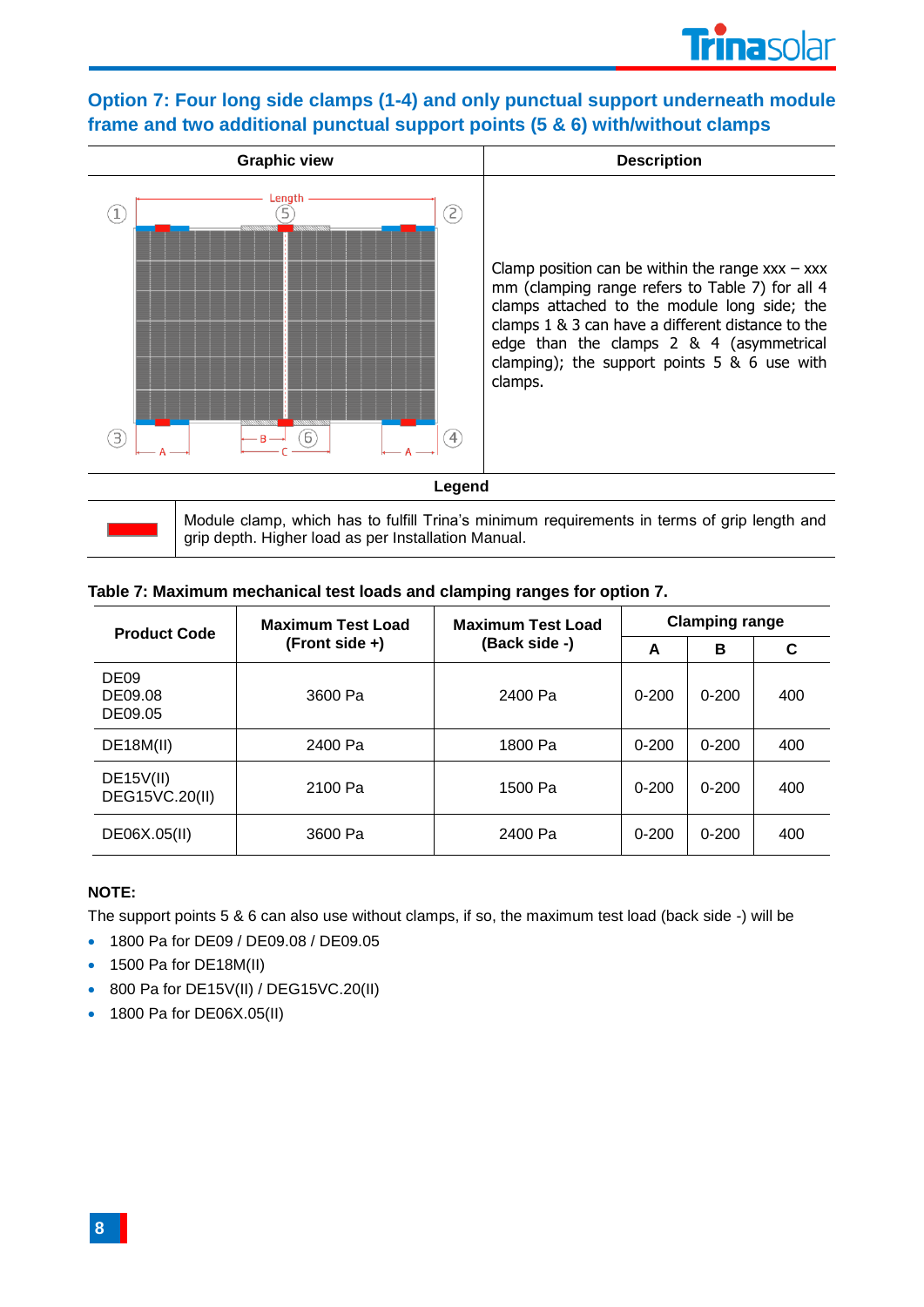# **Option 7: Four long side clamps (1-4) and only punctual support underneath module frame and two additional punctual support points (5 & 6) with/without clamps**



Module clamp, which has to fulfill Trina's minimum requirements in terms of grip length and grip depth. Higher load as per Installation Manual.

| <b>Product Code</b>                    | <b>Maximum Test Load</b><br>$(Front side +)$ | <b>Maximum Test Load</b> | <b>Clamping range</b> |           |     |  |
|----------------------------------------|----------------------------------------------|--------------------------|-----------------------|-----------|-----|--|
|                                        |                                              | (Back side -)            | A                     | в         | С   |  |
| DE <sub>09</sub><br>DE09.08<br>DE09.05 | 3600 Pa                                      | 2400 Pa                  | $0 - 200$             | $0 - 200$ | 400 |  |
| DE18M(II)                              | 2400 Pa                                      | 1800 Pa                  | $0 - 200$             | $0 - 200$ | 400 |  |
| DE15V(II)<br>DEG15VC.20(II)            | 2100 Pa                                      | 1500 Pa                  | $0 - 200$             | $0 - 200$ | 400 |  |
| DE06X.05(II)                           | 3600 Pa                                      | 2400 Pa                  | $0 - 200$             | $0 - 200$ | 400 |  |

#### **Table 7: Maximum mechanical test loads and clamping ranges for option 7.**

#### **NOTE:**

The support points 5 & 6 can also use without clamps, if so, the maximum test load (back side -) will be

- 1800 Pa for DE09 / DE09.08 / DE09.05
- 1500 Pa for DE18M(II)
- 800 Pa for DE15V(II) / DEG15VC.20(II)
- 1800 Pa for DE06X.05(II)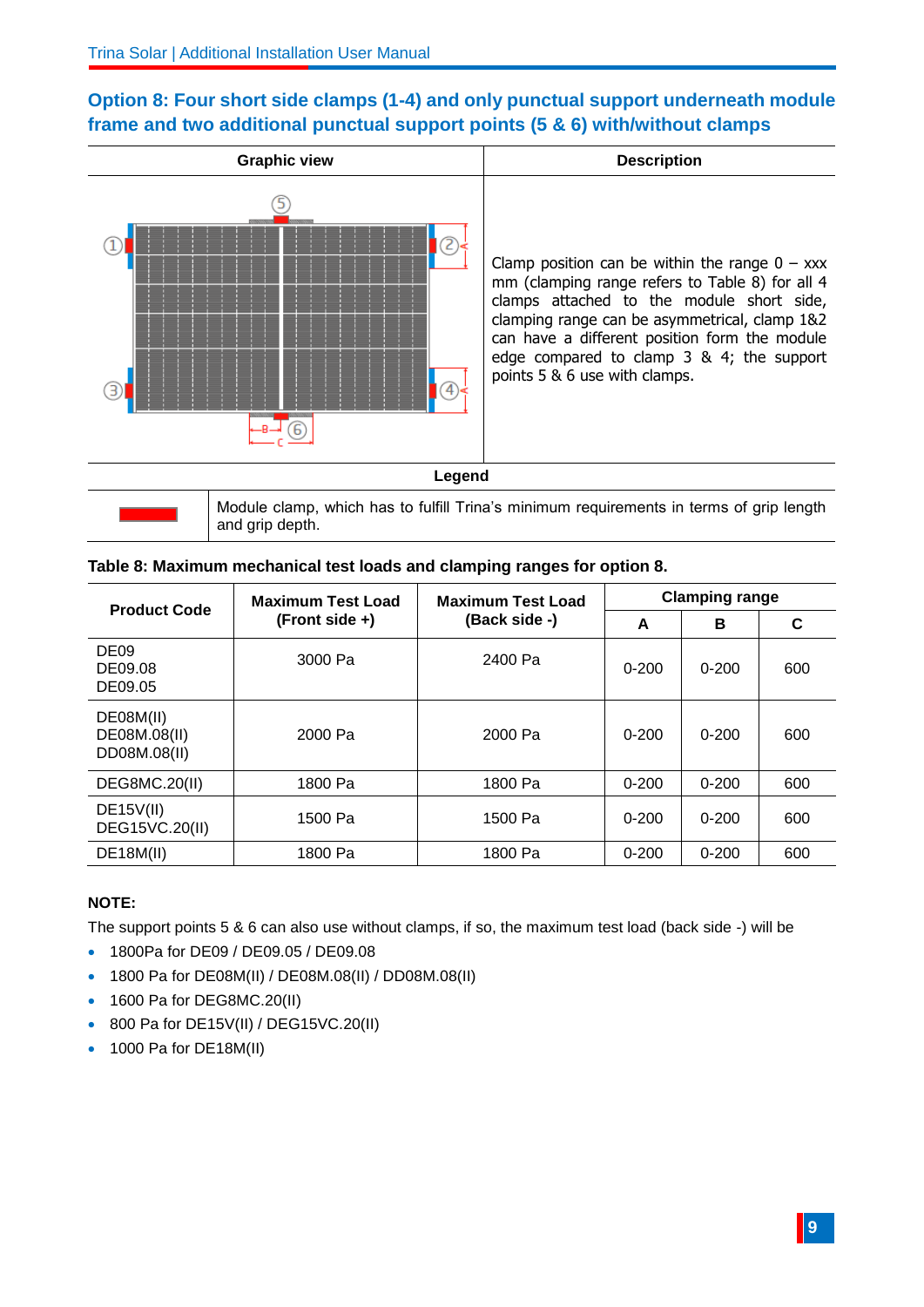# **Option 8: Four short side clamps (1-4) and only punctual support underneath module frame and two additional punctual support points (5 & 6) with/without clamps**



| and grip depth.                                                          |
|--------------------------------------------------------------------------|
| Table 8: Maximum mechanical test loads and clamping ranges for option 8. |

| <b>Product Code</b>                       | <b>Maximum Test Load</b> | <b>Maximum Test Load</b> | <b>Clamping range</b> |           |     |  |
|-------------------------------------------|--------------------------|--------------------------|-----------------------|-----------|-----|--|
|                                           | $(Front side +)$         | (Back side -)            | A                     | в         | C   |  |
| DE <sub>09</sub><br>DE09.08<br>DE09.05    | 3000 Pa                  | 2400 Pa                  | $0 - 200$             | $0 - 200$ | 600 |  |
| DE08M(II)<br>DE08M.08(II)<br>DD08M.08(II) | 2000 Pa                  | 2000 Pa                  | $0 - 200$             | $0 - 200$ | 600 |  |
| DEG8MC.20(II)                             | 1800 Pa                  | 1800 Pa                  | $0 - 200$             | $0 - 200$ | 600 |  |
| DE15V(II)<br>DEG15VC.20(II)               | 1500 Pa                  | 1500 Pa                  | $0 - 200$             | $0 - 200$ | 600 |  |
| <b>DE18M(II)</b>                          | 1800 Pa                  | 1800 Pa                  | $0 - 200$             | $0 - 200$ | 600 |  |

#### **NOTE:**

The support points 5 & 6 can also use without clamps, if so, the maximum test load (back side -) will be

- 1800Pa for DE09 / DE09.05 / DE09.08
- 1800 Pa for DE08M(II) / DE08M.08(II) / DD08M.08(II)
- 1600 Pa for DEG8MC.20(II)
- 800 Pa for DE15V(II) / DEG15VC.20(II)
- 1000 Pa for DE18M(II)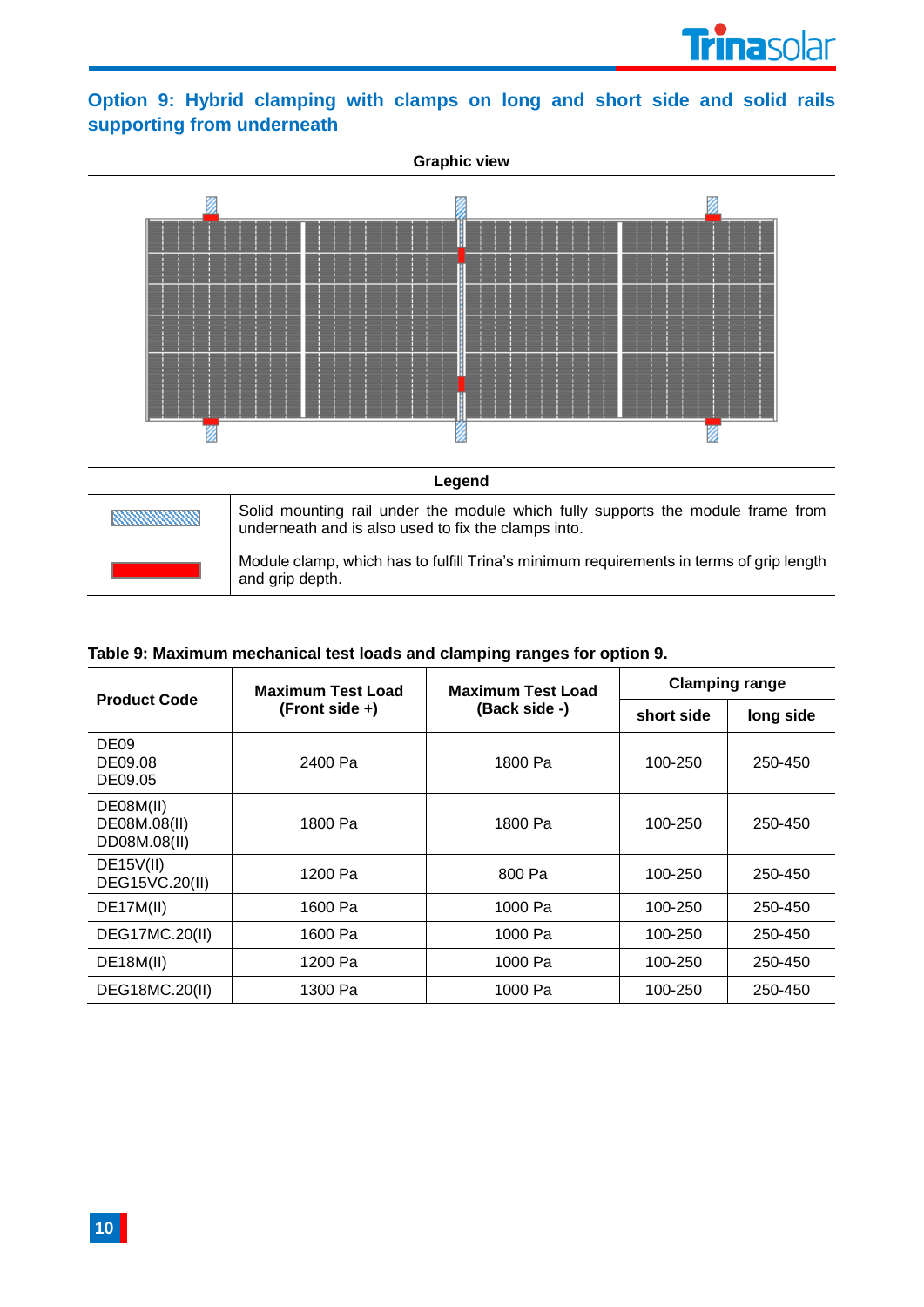

# **Option 9: Hybrid clamping with clamps on long and short side and solid rails supporting from underneath**



| Module clamp, which has to fulfill Trina's minimum requirements in terms of grip length |
|-----------------------------------------------------------------------------------------|
| and grip depth.                                                                         |

#### **Table 9: Maximum mechanical test loads and clamping ranges for option 9.**

|                                           | <b>Maximum Test Load</b><br>$(Front side +)$ | <b>Maximum Test Load</b><br>(Back side -) | <b>Clamping range</b> |           |
|-------------------------------------------|----------------------------------------------|-------------------------------------------|-----------------------|-----------|
| <b>Product Code</b>                       |                                              |                                           | short side            | long side |
| DE <sub>09</sub><br>DE09.08<br>DE09.05    | 2400 Pa                                      | 1800 Pa                                   | 100-250               | 250-450   |
| DE08M(II)<br>DE08M.08(II)<br>DD08M.08(II) | 1800 Pa                                      | 1800 Pa                                   | 100-250               | 250-450   |
| DE15V(II)<br>DEG15VC.20(II)               | 1200 Pa                                      | 800 Pa                                    | 100-250               | 250-450   |
| DE17M(II)                                 | 1600 Pa                                      | 1000 Pa                                   | 100-250               | 250-450   |
| DEG17MC.20(II)                            | 1600 Pa                                      | 1000 Pa                                   | 100-250               | 250-450   |
| DE18M(II)                                 | 1200 Pa                                      | 1000 Pa                                   | 100-250               | 250-450   |
| DEG18MC.20(II)                            | 1300 Pa                                      | 1000 Pa                                   | 100-250               | 250-450   |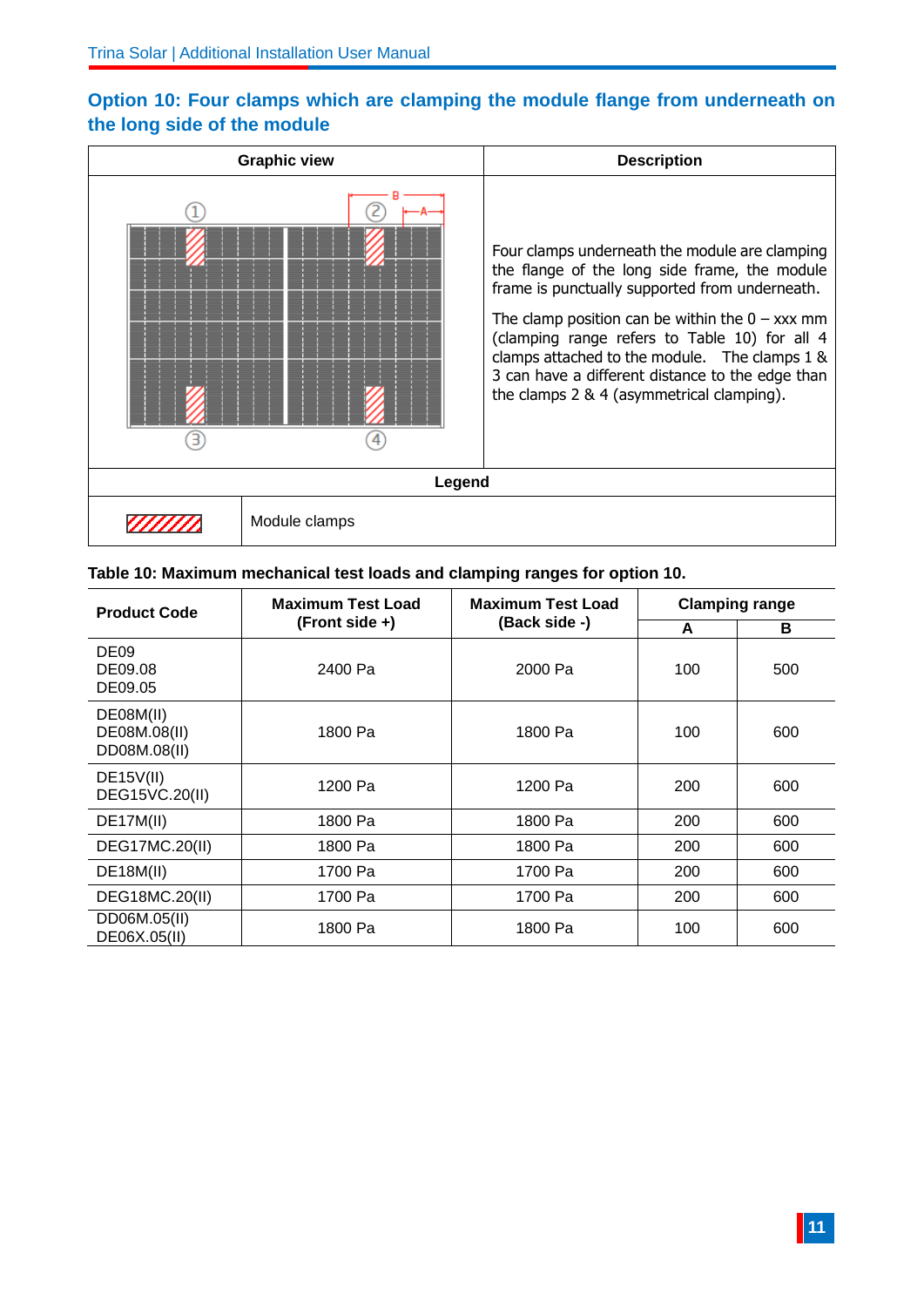# **Option 10: Four clamps which are clamping the module flange from underneath on the long side of the module**



#### **Table 10: Maximum mechanical test loads and clamping ranges for option 10.**

| <b>Product Code</b>                       | <b>Maximum Test Load</b><br>$(Front side +)$ | <b>Maximum Test Load</b><br>(Back side -) | <b>Clamping range</b> |     |
|-------------------------------------------|----------------------------------------------|-------------------------------------------|-----------------------|-----|
|                                           |                                              |                                           | A                     | в   |
| DE <sub>09</sub><br>DE09.08<br>DE09.05    | 2400 Pa                                      | 2000 Pa                                   | 100                   | 500 |
| DE08M(II)<br>DE08M.08(II)<br>DD08M.08(II) | 1800 Pa                                      | 1800 Pa                                   | 100                   | 600 |
| DE15V(II)<br>DEG15VC.20(II)               | 1200 Pa                                      | 1200 Pa                                   | 200                   | 600 |
| DE17M(II)                                 | 1800 Pa                                      | 1800 Pa                                   | 200                   | 600 |
| DEG17MC.20(II)                            | 1800 Pa                                      | 1800 Pa                                   | 200                   | 600 |
| <b>DE18M(II)</b>                          | 1700 Pa                                      | 1700 Pa                                   | 200                   | 600 |
| DEG18MC.20(II)                            | 1700 Pa                                      | 1700 Pa                                   | 200                   | 600 |
| DD06M.05(II)<br>DE06X.05(II)              | 1800 Pa                                      | 1800 Pa                                   | 100                   | 600 |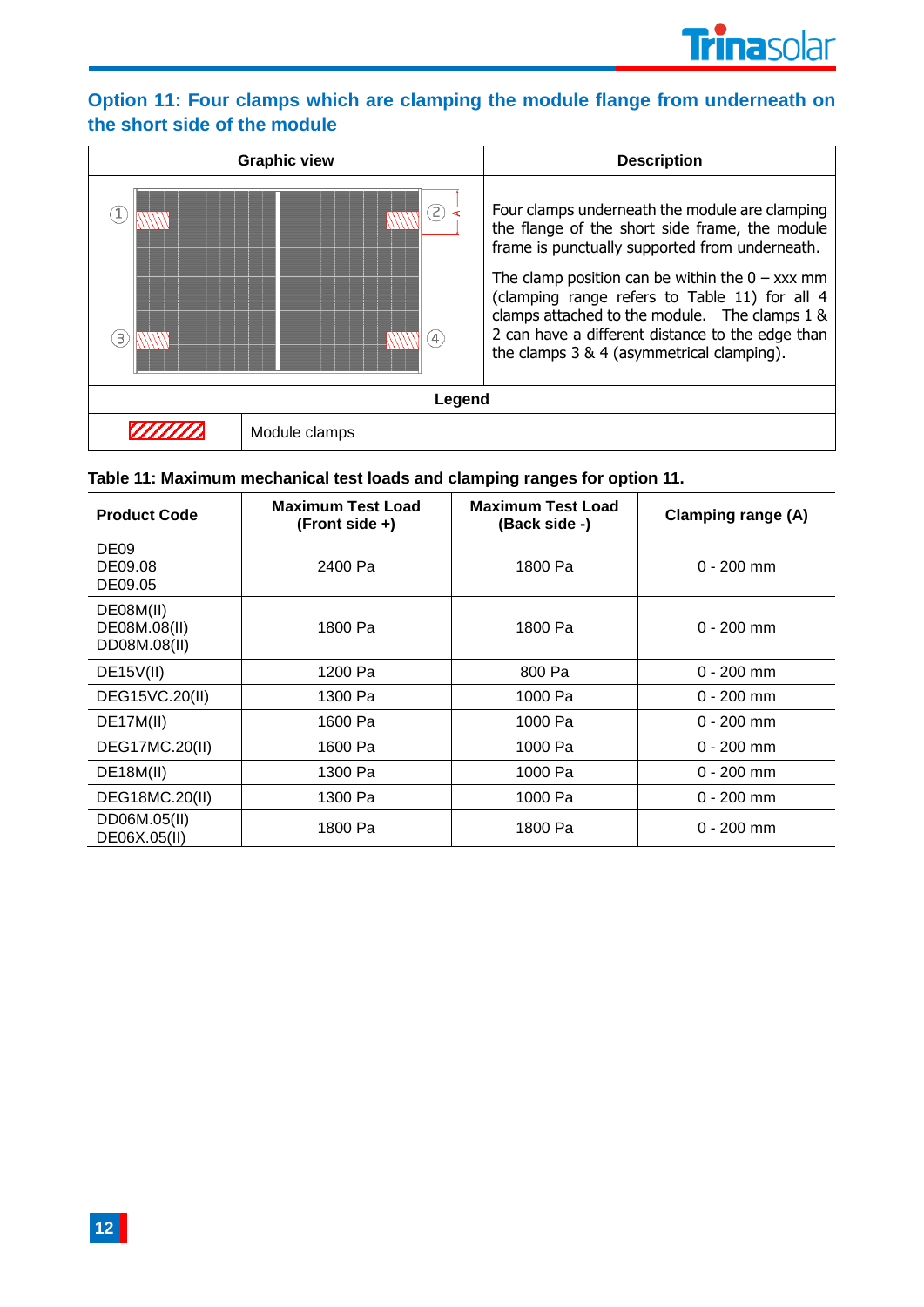# **Option 11: Four clamps which are clamping the module flange from underneath on the short side of the module**

|        | <b>Graphic view</b> | <b>Description</b>                                                                                                                                                                                                                                                                                                                                                                                         |  |
|--------|---------------------|------------------------------------------------------------------------------------------------------------------------------------------------------------------------------------------------------------------------------------------------------------------------------------------------------------------------------------------------------------------------------------------------------------|--|
| Э      | 2)<br>$\frac{1}{4}$ | Four clamps underneath the module are clamping<br>the flange of the short side frame, the module<br>frame is punctually supported from underneath.<br>The clamp position can be within the $0 - xxx$ mm<br>(clamping range refers to Table 11) for all 4<br>clamps attached to the module. The clamps 1 &<br>2 can have a different distance to the edge than<br>the clamps 3 & 4 (asymmetrical clamping). |  |
| Legend |                     |                                                                                                                                                                                                                                                                                                                                                                                                            |  |
|        | Module clamps       |                                                                                                                                                                                                                                                                                                                                                                                                            |  |

# **Table 11: Maximum mechanical test loads and clamping ranges for option 11.**

| <b>Product Code</b>                       | <b>Maximum Test Load</b><br>$(Front side +)$ | <b>Maximum Test Load</b><br>(Back side -) | <b>Clamping range (A)</b> |
|-------------------------------------------|----------------------------------------------|-------------------------------------------|---------------------------|
| DE <sub>09</sub><br>DE09.08<br>DE09.05    | 2400 Pa                                      | 1800 Pa                                   | $0 - 200$ mm              |
| DE08M(II)<br>DE08M.08(II)<br>DD08M.08(II) | 1800 Pa                                      | 1800 Pa                                   | $0 - 200$ mm              |
| DE15V(II)                                 | 1200 Pa                                      | 800 Pa                                    | $0 - 200$ mm              |
| DEG15VC.20(II)                            | 1300 Pa                                      | 1000 Pa                                   | $0 - 200$ mm              |
| DE17M(II)                                 | 1600 Pa                                      | 1000 Pa                                   | $0 - 200$ mm              |
| <b>DEG17MC.20(II)</b>                     | 1600 Pa                                      | 1000 Pa                                   | $0 - 200$ mm              |
| <b>DE18M(II)</b>                          | 1300 Pa                                      | 1000 Pa                                   | $0 - 200$ mm              |
| DEG18MC.20(II)                            | 1300 Pa                                      | 1000 Pa                                   | $0 - 200$ mm              |
| DD06M.05(II)<br>DE06X.05(II)              | 1800 Pa                                      | 1800 Pa                                   | $0 - 200$ mm              |